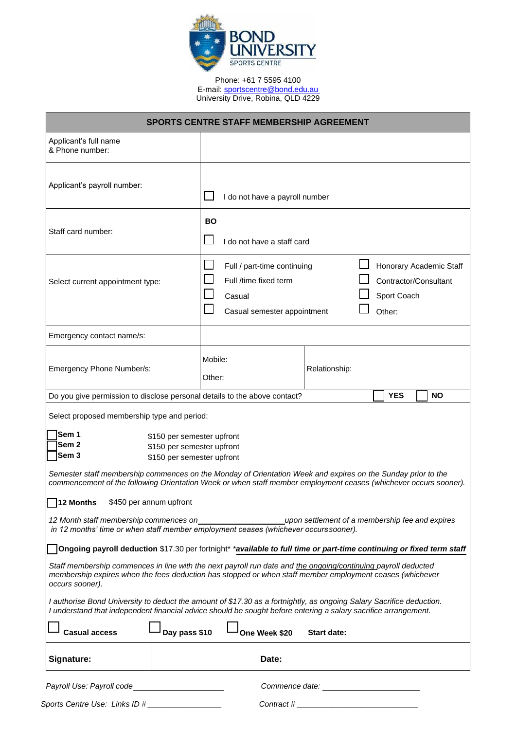

Phone: +61 7 5595 4100 E-mail[: sportscentre@bond.edu.au](mailto:sportscentre@bond.edu.au) University Drive, Robina, QLD 4229

| <b>SPORTS CENTRE STAFF MEMBERSHIP AGREEMENT</b>                                                                                                                                                                                                                       |                                         |                                                                                     |                                                                           |  |  |            |  |           |  |  |
|-----------------------------------------------------------------------------------------------------------------------------------------------------------------------------------------------------------------------------------------------------------------------|-----------------------------------------|-------------------------------------------------------------------------------------|---------------------------------------------------------------------------|--|--|------------|--|-----------|--|--|
| Applicant's full name<br>& Phone number:                                                                                                                                                                                                                              |                                         |                                                                                     |                                                                           |  |  |            |  |           |  |  |
| Applicant's payroll number:                                                                                                                                                                                                                                           |                                         | I do not have a payroll number                                                      |                                                                           |  |  |            |  |           |  |  |
| Staff card number:                                                                                                                                                                                                                                                    | <b>BO</b><br>I do not have a staff card |                                                                                     |                                                                           |  |  |            |  |           |  |  |
| Select current appointment type:                                                                                                                                                                                                                                      | Casual                                  | Full / part-time continuing<br>Full /time fixed term<br>Casual semester appointment | Honorary Academic Staff<br>Contractor/Consultant<br>Sport Coach<br>Other: |  |  |            |  |           |  |  |
| Emergency contact name/s:                                                                                                                                                                                                                                             |                                         |                                                                                     |                                                                           |  |  |            |  |           |  |  |
| Emergency Phone Number/s:                                                                                                                                                                                                                                             | Mobile:<br>Other:                       |                                                                                     | Relationship:                                                             |  |  |            |  |           |  |  |
| Do you give permission to disclose personal details to the above contact?                                                                                                                                                                                             |                                         |                                                                                     |                                                                           |  |  | <b>YES</b> |  | <b>NO</b> |  |  |
| Select proposed membership type and period:<br>Sem 1<br>\$150 per semester upfront<br>Sem 2<br>\$150 per semester upfront<br>Sem <sub>3</sub><br>\$150 per semester upfront                                                                                           |                                         |                                                                                     |                                                                           |  |  |            |  |           |  |  |
| Semester staff membership commences on the Monday of Orientation Week and expires on the Sunday prior to the<br>commencement of the following Orientation Week or when staff member employment ceases (whichever occurs sooner).<br>12 Months \$450 per annum upfront |                                         |                                                                                     |                                                                           |  |  |            |  |           |  |  |
| 12 Month staff membership commences on<br>upon settlement of a membership fee and expires<br>in 12 months' time or when staff member employment ceases (whichever occurs sooner).                                                                                     |                                         |                                                                                     |                                                                           |  |  |            |  |           |  |  |
| Ongoing payroll deduction \$17.30 per fortnight* *available to full time or part-time continuing or fixed term staff                                                                                                                                                  |                                         |                                                                                     |                                                                           |  |  |            |  |           |  |  |
| Staff membership commences in line with the next payroll run date and the ongoing/continuing payroll deducted<br>membership expires when the fees deduction has stopped or when staff member employment ceases (whichever<br>occurs sooner).                          |                                         |                                                                                     |                                                                           |  |  |            |  |           |  |  |
| I authorise Bond University to deduct the amount of \$17.30 as a fortnightly, as ongoing Salary Sacrifice deduction.<br>I understand that independent financial advice should be sought before entering a salary sacrifice arrangement.                               |                                         |                                                                                     |                                                                           |  |  |            |  |           |  |  |
| Day pass \$10<br><b>Casual access</b>                                                                                                                                                                                                                                 |                                         | One Week \$20                                                                       | <b>Start date:</b>                                                        |  |  |            |  |           |  |  |
| Signature:                                                                                                                                                                                                                                                            |                                         | Date:                                                                               |                                                                           |  |  |            |  |           |  |  |
| Payroll Use: Payroll code<br><u>and the state of the state of the state</u>                                                                                                                                                                                           |                                         |                                                                                     |                                                                           |  |  |            |  |           |  |  |
| Sports Centre Use: Links ID #                                                                                                                                                                                                                                         |                                         | Contract $#_$                                                                       |                                                                           |  |  |            |  |           |  |  |